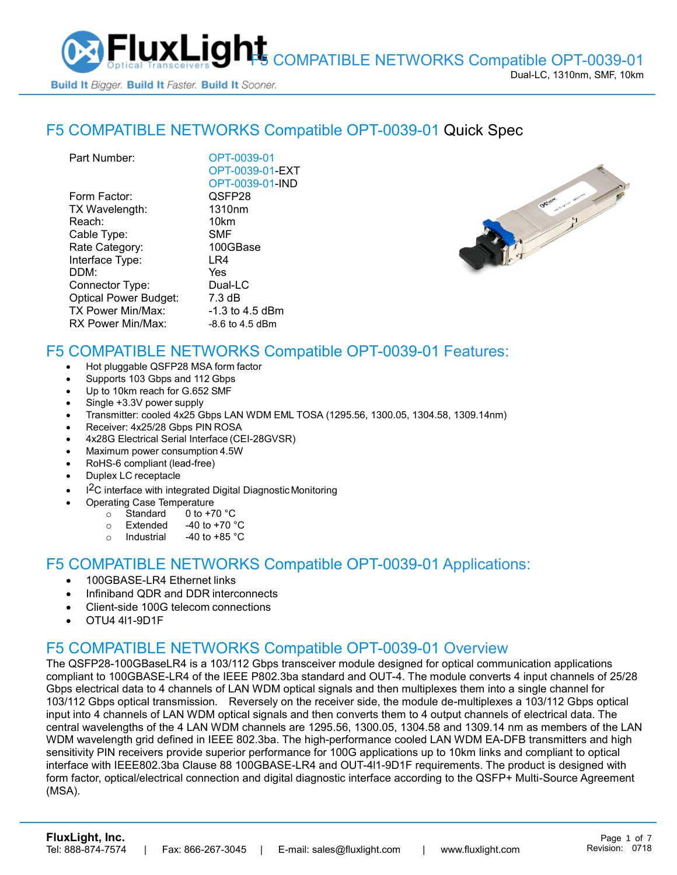

### F5 COMPATIBLE NETWORKS [Compatible OPT-0039-01](https://www.fluxlight.com/OPT-0039-01/) Quick Spec

| Part Number:                 | OPT-0039-01        |
|------------------------------|--------------------|
|                              | OPT-0039-01-EXT    |
|                              | OPT-0039-01-IND    |
| Form Factor:                 | QSFP28             |
| TX Wavelength:               | 1310 <sub>nm</sub> |
| Reach:                       | 10km               |
| Cable Type:                  | SMF                |
| Rate Category:               | 100GBase           |
| Interface Type:              | LR4                |
| DDM:                         | Yes                |
| Connector Type:              | Dual-LC            |
| <b>Optical Power Budget:</b> | 7.3 dB             |
| TX Power Min/Max:            | -1.3 to 4.5 dBm    |
| RX Power Min/Max:            | $-8.6$ to 4.5 dBm  |
|                              |                    |



# F5 COMPATIBLE NETWORKS Compatible [OPT-0039-01](https://www.fluxlight.com/OPT-0039-01/) Features:

- Hot pluggable QSFP28 MSA form factor
- Supports 103 Gbps and 112 Gbps
- Up to 10km reach for G.652 SMF
- Single +3.3V power supply
- Transmitter: cooled 4x25 Gbps LAN WDM EML TOSA (1295.56, 1300.05, 1304.58, 1309.14nm)
- Receiver: 4x25/28 Gbps PIN ROSA
- 4x28G Electrical Serial Interface (CEI-28GVSR)
- Maximum power consumption 4.5W
- RoHS-6 compliant (lead-free)
- Duplex LC receptacle
- I<sup>2</sup>C interface with integrated Digital Diagnostic Monitoring
	- Operating Case Temperature
		- o Standard 0 to +70 °C
		- $\circ$  Extended -40 to +70  $\degree$ C
		- o Industrial  $-40$  to  $+85$  °C

#### F5 COMPATIBLE NETWORKS Compatible [OPT-0039-01](https://www.fluxlight.com/OPT-0039-01/) Applications:

- 100GBASE-LR4 Ethernet links
- Infiniband QDR and DDR interconnects
- Client-side 100G telecom connections
- OTU4 4l1-9D1F

### F5 COMPATIBLE NETWORKS Compatible [OPT-0039-01](https://www.fluxlight.com/OPT-0039-01/) Overview

The QSFP28-100GBaseLR4 is a 103/112 Gbps transceiver module designed for optical communication applications compliant to 100GBASE-LR4 of the IEEE P802.3ba standard and OUT-4. The module converts 4 input channels of 25/28 Gbps electrical data to 4 channels of LAN WDM optical signals and then multiplexes them into a single channel for 103/112 Gbps optical transmission. Reversely on the receiver side, the module de-multiplexes a 103/112 Gbps optical input into 4 channels of LAN WDM optical signals and then converts them to 4 output channels of electrical data. The central wavelengths of the 4 LAN WDM channels are 1295.56, 1300.05, 1304.58 and 1309.14 nm as members of the LAN WDM wavelength grid defined in IEEE 802.3ba. The high-performance cooled LAN WDM EA-DFB transmitters and high sensitivity PIN receivers provide superior performance for 100G applications up to 10km links and compliant to optical interface with IEEE802.3ba Clause 88 100GBASE-LR4 and OUT-4l1-9D1F requirements. The product is designed with form factor, optical/electrical connection and digital diagnostic interface according to the QSFP+ Multi-Source Agreement (MSA).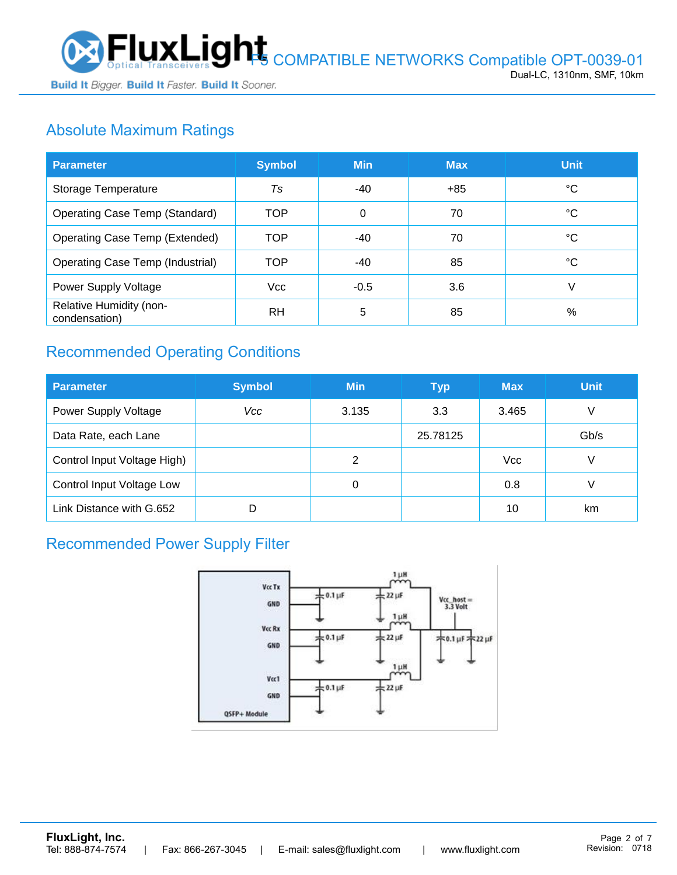

Build It Bigger. Build It Faster. Build It Sooner.

# Absolute Maximum Ratings

| <b>Parameter</b>                         | <b>Symbol</b>  | <b>Min</b> | <b>Max</b> | <b>Unit</b> |
|------------------------------------------|----------------|------------|------------|-------------|
| Storage Temperature                      | T <sub>S</sub> | -40        | $+85$      | °C          |
| Operating Case Temp (Standard)           | <b>TOP</b>     | 0          | 70         | °C          |
| Operating Case Temp (Extended)           | <b>TOP</b>     | $-40$      | 70         | °C          |
| <b>Operating Case Temp (Industrial)</b>  | <b>TOP</b>     | $-40$      | 85         | °C          |
| Power Supply Voltage                     | <b>Vcc</b>     | $-0.5$     | 3.6        | V           |
| Relative Humidity (non-<br>condensation) | <b>RH</b>      | 5          | 85         | %           |

# Recommended Operating Conditions

| <b>Parameter</b>            | <b>Symbol</b> | <b>Min</b> | <b>Typ</b> | <b>Max</b> | <b>Unit</b> |
|-----------------------------|---------------|------------|------------|------------|-------------|
| Power Supply Voltage        | Vcc           | 3.135      | 3.3        | 3.465      | V           |
| Data Rate, each Lane        |               |            | 25.78125   |            | Gb/s        |
| Control Input Voltage High) |               | 2          |            | <b>Vcc</b> | V           |
| Control Input Voltage Low   |               | 0          |            | 0.8        | V           |
| Link Distance with G.652    | D             |            |            | 10         | km          |

### Recommended Power Supply Filter

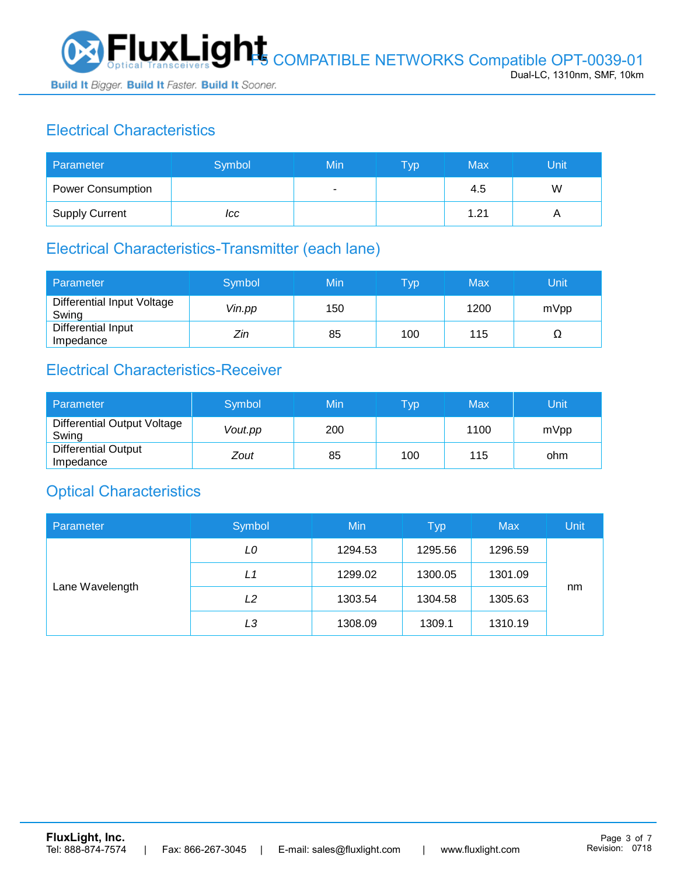

# Electrical Characteristics

| Parameter                | Symbol | Min                      | <b>Typ</b> | Max  | Unit |
|--------------------------|--------|--------------------------|------------|------|------|
| <b>Power Consumption</b> |        | $\overline{\phantom{a}}$ |            | 4.5  | W    |
| <b>Supply Current</b>    | ICC    |                          |            | 1.21 |      |

### Electrical Characteristics-Transmitter (each lane)

| Parameter                           | Symbol | Min | $\overline{\mathsf{T}}\mathsf{yp}$ | Max  | Unit |
|-------------------------------------|--------|-----|------------------------------------|------|------|
| Differential Input Voltage<br>Swing | Vin.pp | 150 |                                    | 1200 | mVpp |
| Differential Input<br>Impedance     | Zin    | 85  | 100                                | 115  | 77   |

#### Electrical Characteristics-Receiver

| Parameter                               | Symbol  | Min | Typ | Max  | Unit |
|-----------------------------------------|---------|-----|-----|------|------|
| Differential Output Voltage<br>Swing    | Vout.pp | 200 |     | 1100 | mVpp |
| <b>Differential Output</b><br>Impedance | Zout    | 85  | 100 | 115  | ohm  |

### Optical Characteristics

| Parameter       | Symbol | Min     | <b>Typ</b> | <b>Max</b> | Unit |
|-----------------|--------|---------|------------|------------|------|
| Lane Wavelength | LO     | 1294.53 | 1295.56    | 1296.59    |      |
|                 | L1     | 1299.02 | 1300.05    | 1301.09    |      |
|                 | L2     | 1303.54 | 1304.58    | 1305.63    | nm   |
|                 | LЗ     | 1308.09 | 1309.1     | 1310.19    |      |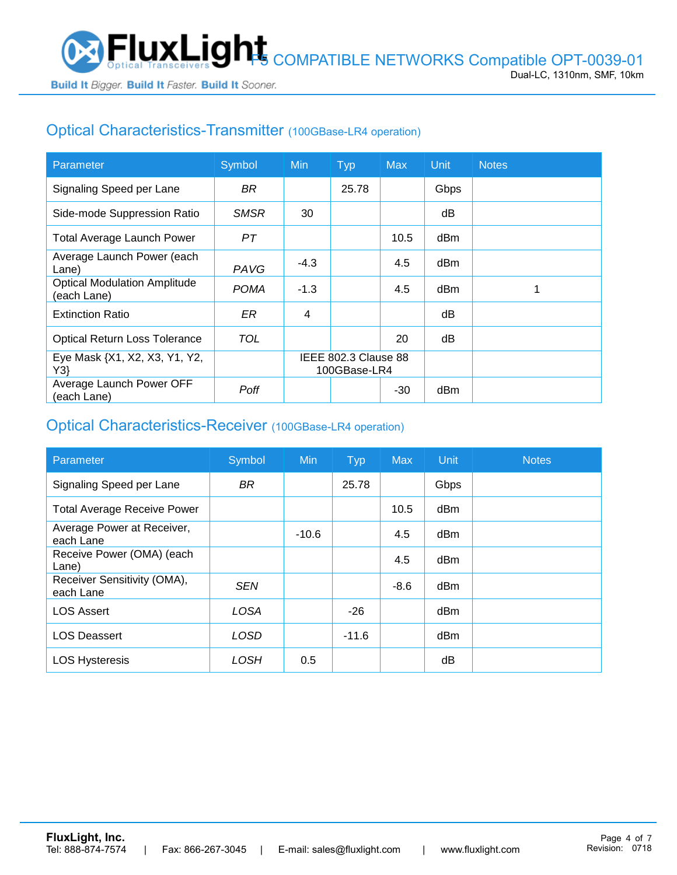# Optical Characteristics-Transmitter (100GBase-LR4 operation)

| Parameter                                          | Symbol      | <b>Min</b>                           | <b>Typ</b> | <b>Max</b> | Unit            | <b>Notes</b> |
|----------------------------------------------------|-------------|--------------------------------------|------------|------------|-----------------|--------------|
| Signaling Speed per Lane                           | BR          |                                      | 25.78      |            | Gbps            |              |
| Side-mode Suppression Ratio                        | <b>SMSR</b> | 30                                   |            |            | dB              |              |
| <b>Total Average Launch Power</b>                  | PТ          |                                      |            | 10.5       | dBm             |              |
| Average Launch Power (each<br>Lane)                | PAVG        | $-4.3$                               |            | 4.5        | d <sub>Bm</sub> |              |
| <b>Optical Modulation Amplitude</b><br>(each Lane) | <b>POMA</b> | $-1.3$                               |            | 4.5        | dBm             |              |
| <b>Extinction Ratio</b>                            | ER          | 4                                    |            |            | dΒ              |              |
| <b>Optical Return Loss Tolerance</b>               | TOL         |                                      |            | 20         | dB              |              |
| Eye Mask {X1, X2, X3, Y1, Y2,<br>Y3                |             | IEEE 802.3 Clause 88<br>100GBase-LR4 |            |            |                 |              |
| Average Launch Power OFF<br>(each Lane)            | Poff        |                                      |            | $-30$      | dBm             |              |

### Optical Characteristics-Receiver (100GBase-LR4 operation)

| Parameter                                | Symbol      | <b>Min</b> | <b>Typ</b> | <b>Max</b> | <b>Unit</b>     | <b>Notes</b> |
|------------------------------------------|-------------|------------|------------|------------|-----------------|--------------|
| Signaling Speed per Lane                 | <b>BR</b>   |            | 25.78      |            | Gbps            |              |
| <b>Total Average Receive Power</b>       |             |            |            | 10.5       | d <sub>Bm</sub> |              |
| Average Power at Receiver,<br>each Lane  |             | $-10.6$    |            | 4.5        | d <sub>Bm</sub> |              |
| Receive Power (OMA) (each<br>Lane)       |             |            |            | 4.5        | dBm             |              |
| Receiver Sensitivity (OMA),<br>each Lane | <b>SEN</b>  |            |            | $-8.6$     | dBm             |              |
| <b>LOS Assert</b>                        | <b>LOSA</b> |            | $-26$      |            | d <sub>Bm</sub> |              |
| <b>LOS Deassert</b>                      | <b>LOSD</b> |            | $-11.6$    |            | dBm             |              |
| <b>LOS Hysteresis</b>                    | LOSH        | 0.5        |            |            | dB              |              |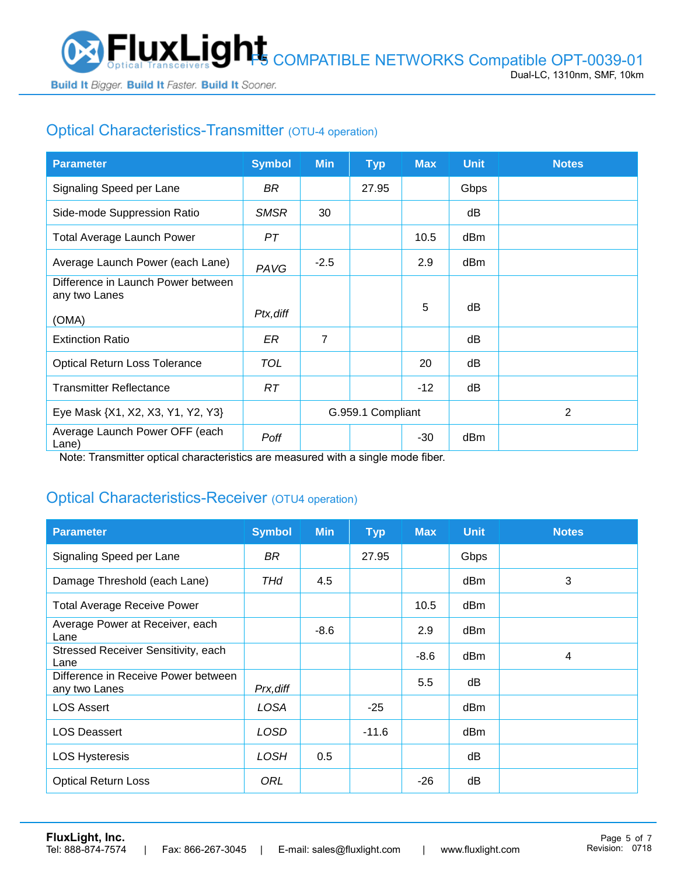

# Optical Characteristics-Transmitter (OTU-4 operation)

| <b>Parameter</b>                                    | <b>Symbol</b> | <b>Min</b>        | <b>Typ</b> | <b>Max</b> | <b>Unit</b> | <b>Notes</b> |
|-----------------------------------------------------|---------------|-------------------|------------|------------|-------------|--------------|
| Signaling Speed per Lane                            | BR            |                   | 27.95      |            | Gbps        |              |
| Side-mode Suppression Ratio                         | <b>SMSR</b>   | 30                |            |            | dB          |              |
| <b>Total Average Launch Power</b>                   | PT            |                   |            | 10.5       | dBm         |              |
| Average Launch Power (each Lane)                    | PAVG          | $-2.5$            |            | 2.9        | dBm         |              |
| Difference in Launch Power between<br>any two Lanes |               |                   |            |            |             |              |
| (OMA)                                               | Ptx, diff     |                   |            | 5          | dB          |              |
| <b>Extinction Ratio</b>                             | ER            | $\overline{7}$    |            |            | dB          |              |
| <b>Optical Return Loss Tolerance</b>                | TOL           |                   |            | 20         | dB          |              |
| <b>Transmitter Reflectance</b>                      | RT.           |                   |            | $-12$      | dB          |              |
| Eye Mask {X1, X2, X3, Y1, Y2, Y3}                   |               | G.959.1 Compliant |            |            |             | 2            |
| Average Launch Power OFF (each<br>Lane)             | Poff          |                   |            | -30        | dBm         |              |

Note: Transmitter optical characteristics are measured with a single mode fiber.

### Optical Characteristics-Receiver (OTU4 operation)

| <b>Parameter</b>                                     | <b>Symbol</b> | <b>Min</b> | <b>Typ</b> | <b>Max</b> | <b>Unit</b> | <b>Notes</b> |
|------------------------------------------------------|---------------|------------|------------|------------|-------------|--------------|
| Signaling Speed per Lane                             | BR            |            | 27.95      |            | Gbps        |              |
| Damage Threshold (each Lane)                         | THd           | 4.5        |            |            | dBm         | 3            |
| <b>Total Average Receive Power</b>                   |               |            |            | 10.5       | dBm         |              |
| Average Power at Receiver, each<br>Lane              |               | $-8.6$     |            | 2.9        | dBm         |              |
| Stressed Receiver Sensitivity, each<br>Lane          |               |            |            | $-8.6$     | dBm         | 4            |
| Difference in Receive Power between<br>any two Lanes | Prx, diff     |            |            | 5.5        | dB          |              |
| <b>LOS Assert</b>                                    | LOSA          |            | $-25$      |            | dBm         |              |
| <b>LOS Deassert</b>                                  | LOSD          |            | $-11.6$    |            | dBm         |              |
| <b>LOS Hysteresis</b>                                | <b>LOSH</b>   | 0.5        |            |            | dB          |              |
| <b>Optical Return Loss</b>                           | ORL           |            |            | $-26$      | dB          |              |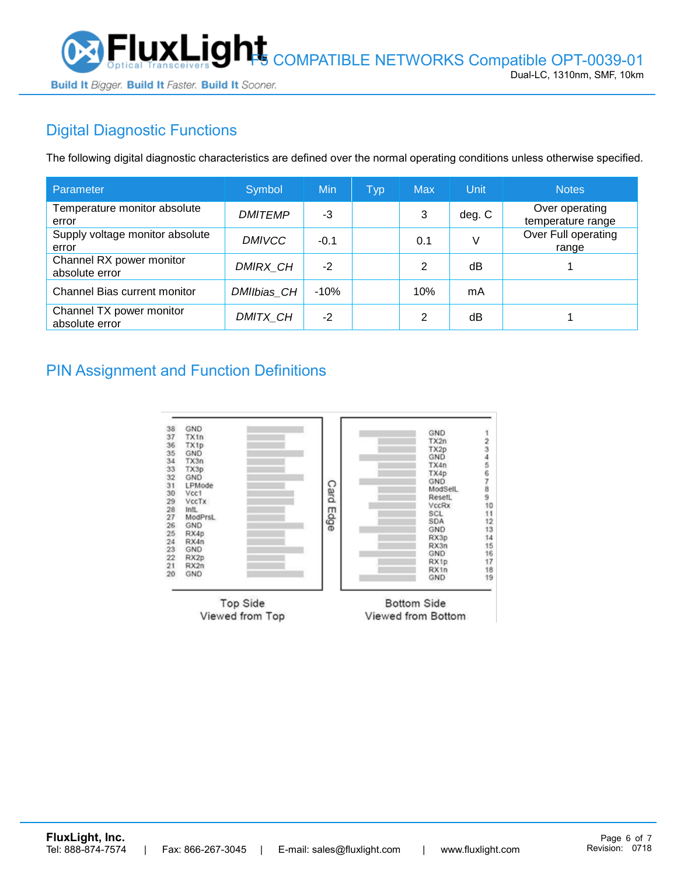

# Digital Diagnostic Functions

The following digital diagnostic characteristics are defined over the normal operating conditions unless otherwise specified.

| Parameter                                  | Symbol         | Min    | <b>Typ</b> | <b>Max</b> | Unit   | <b>Notes</b>                        |
|--------------------------------------------|----------------|--------|------------|------------|--------|-------------------------------------|
| Temperature monitor absolute<br>error      | <b>DMITEMP</b> | -3     |            | 3          | deg. C | Over operating<br>temperature range |
| Supply voltage monitor absolute<br>error   | <b>DMIVCC</b>  | $-0.1$ |            | 0.1        | V      | Over Full operating<br>range        |
| Channel RX power monitor<br>absolute error | DMIRX_CH       | $-2$   |            | 2          | dB     |                                     |
| Channel Bias current monitor               | DMIIbias CH    | $-10%$ |            | 10%        | mA     |                                     |
| Channel TX power monitor<br>absolute error | DMITX CH       | $-2$   |            | 2          | dB     |                                     |

#### PIN Assignment and Function Definitions